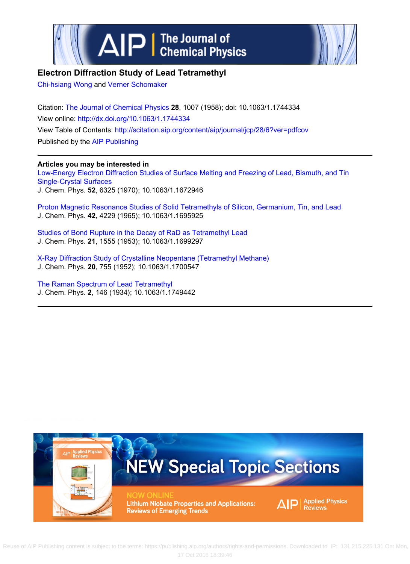



## **Electron Diffraction Study of Lead Tetramethyl**

[Chi‐hsiang Wong](http://scitation.aip.org/search?value1=Chihsiang+Wong&option1=author) and [Verner Schomaker](http://scitation.aip.org/search?value1=Verner+Schomaker&option1=author)

Citation: [The Journal of Chemical Physics](http://scitation.aip.org/content/aip/journal/jcp?ver=pdfcov) **28**, 1007 (1958); doi: 10.1063/1.1744334 View online:<http://dx.doi.org/10.1063/1.1744334> View Table of Contents: <http://scitation.aip.org/content/aip/journal/jcp/28/6?ver=pdfcov> Published by the [AIP Publishing](http://scitation.aip.org/content/aip?ver=pdfcov)

### **Articles you may be interested in**

[Low‐Energy Electron Diffraction Studies of Surface Melting and Freezing of Lead, Bismuth, and Tin](http://scitation.aip.org/content/aip/journal/jcp/52/12/10.1063/1.1672946?ver=pdfcov) [Single‐Crystal Surfaces](http://scitation.aip.org/content/aip/journal/jcp/52/12/10.1063/1.1672946?ver=pdfcov) J. Chem. Phys. **52**, 6325 (1970); 10.1063/1.1672946

[Proton Magnetic Resonance Studies of Solid Tetramethyls of Silicon, Germanium, Tin, and Lead](http://scitation.aip.org/content/aip/journal/jcp/42/12/10.1063/1.1695925?ver=pdfcov) J. Chem. Phys. **42**, 4229 (1965); 10.1063/1.1695925

[Studies of Bond Rupture in the Decay of RaD as Tetramethyl Lead](http://scitation.aip.org/content/aip/journal/jcp/21/9/10.1063/1.1699297?ver=pdfcov) J. Chem. Phys. **21**, 1555 (1953); 10.1063/1.1699297

[X‐Ray Diffraction Study of Crystalline Neopentane \(Tetramethyl Methane\)](http://scitation.aip.org/content/aip/journal/jcp/20/4/10.1063/1.1700547?ver=pdfcov) J. Chem. Phys. **20**, 755 (1952); 10.1063/1.1700547

[The Raman Spectrum of Lead Tetramethyl](http://scitation.aip.org/content/aip/journal/jcp/2/3/10.1063/1.1749442?ver=pdfcov) J. Chem. Phys. **2**, 146 (1934); 10.1063/1.1749442



Reuse [of AIP Publishing content is subject to the terms: https://publishing.aip.org/authors/rights-and-permissions. Downloaded to IP: 131.215.225.](http://oasc12039.247realmedia.com/RealMedia/ads/click_lx.ads/www.aip.org/pt/adcenter/pdfcover_test/L-37/1624400372/x01/AIP-PT/JCP_ArticleDL_091416/APR_1640x440BannerAd11-15.jpg/434f71374e315a556e61414141774c75?x)131 On: Mon, 17 Oct 2016 18:39:46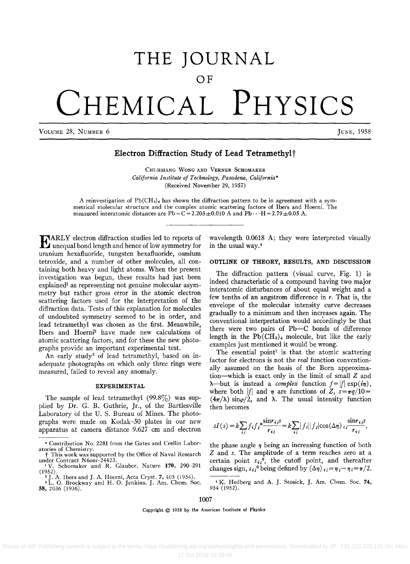# THE JOURNAL **OF CHEMICAL PHYSICS**

VOLUME 28, NUMBER 6 JUNE, 1958

## Electron Diffraction Study of Lead Tetramethyl<sup>†</sup>

CHI-HSIANG WONG AND VERNER ScHOMAKER *California Institute of Technology, Pasadena, California\**  (Received November 29, 1957)

A reinvestigation of  $Pb(CH_3)$ , has shown the diffraction pattern to be in agreement with a symmetrical molecular structure and the complex atomic scattering factors of Ibers and Hoerni. The measured interatomic distances are Pb-C = 2.203 $\pm$ 0.010 A and Pb $\cdot\cdot\cdot$  H = 2.79 $\pm$ 0.05 A.

EARLY electron diffraction studies led to reports of unequal bond length and hence of low symmetry for uranium hexafluoride, tungsten hexafluoride, osmium tetroxide, and a number of other molecules, all containing both heavy and light atoms. When the present investigation was begun, these results had just been explained<sup>1</sup> as representing not genuine molecular asymmetry but rather gross error in the atomic electron scattering factors used for the interpretation of the diffraction data. Tests of this explanation for molecules of undoubted symmetry seemed to be in order, and lead tetramethyl was chosen as the first. Meanwhile, Ibers and Hoerni2 have made new calculations of atomic scattering factors, and for these the new photographs provide an important experimental test.

An early study<sup>3</sup> of lead tetramethyl, based on inadequate photographs on which only three rings were measured, failed to reveal any anomaly.

#### EXPERIMENTAL

The sample of lead tetramethyl  $(99.8\%)$  was supplied by Dr. G. B. Guthrie, Jr., of the Bartlesville Laboratory of the U. S. Bureau of Mines. The photographs were made on Kodak-50 plates in our new apparatus at camera distance 9.627 cm and electron wavelength 0.0618 A; they were interpreted visually in the usual way.4

#### OUTLINE OF THEORY, RESULTS, AND DISCUSSION

The diffraction pattern (visual curve, Fig. 1) is indeed characteristic of a compound having two major interatomic disturbances of about equal weight and a few tenths of an angstrom difference in  $r$ . That is, the envelope of the molecular intensity curve decreases gradually to a minimum and then increases again. The conventional interpretation would accordingly be that there were two pairs of Pb-C bonds of difference length in the  $Pb(CH_3)_4$  molecule, but like the early examples just mentioned it would be wrong.

The essential point<sup>1</sup> is that the atomic scattering factor for electrons is not the *real* function conventionally assumed on the basis of the Born approximation-which is exact only in the limit of small *Z* and  $\lambda$ —but is instead a *complex* function  $f = |f| \exp(i\eta)$ , where both |f| and  $\eta$  are functions of  $Z$ ,  $s=\pi q/10=$  $(4\pi/\lambda)$  sin $\varphi/2$ , and  $\lambda$ . The usual intensity function then becomes

$$
sI(s) = k \sum_{ij} f_i f_j^* \frac{\sin r_{ij} s}{r_{ij}} = k \sum_{ij} |f_i||f_j|\cos(\Delta \eta) i_j \frac{\sin r_{ij} s}{r_{ij}},
$$

the phase angle  $\eta$  being an increasing function of both *Z* and s. The amplitude of a term reaches zero at a certain point  $s_{ij}^0$ , the cutoff point, and thereafter changes sign,  $s_{ij}^0$  being defined by  $(\Delta \eta)_{ij} = \eta_j - \eta_i = \pi/2$ .

1007

Copyright © 1958 by the American Institute of Physics

Reuse of AIP Publishing content is subject to the terms: https://publishing.aip.org/authors/rights-and-permissions. Downloaded to IP: 131.215.225.131 On: Mon,

<sup>•</sup> Contribution No. 2281 from the Gates and Crellin Labor-

This work was supported by the Office of Naval Research under Contract N6onr-24423.<br>
<sup>1</sup> V. Schomaker and R. Glauber, Nature 170, 290-291<br>
(1952).

<sup>&</sup>lt;sup>2</sup> J. A. Ibers and J. A. Hoerni, Acta Cryst. 7, 405 (1954).

<sup>&</sup>lt;sup>3</sup> L. O. Brockway and H. O. Jenkins. J. Am. Chem. Soc.

<sup>58,2036 (1936).</sup> 

<sup>&</sup>lt;sup>4</sup> K. Hedberg and A. J. Stosick, J. Am. Chem. Soc. 74, 954 (i 952).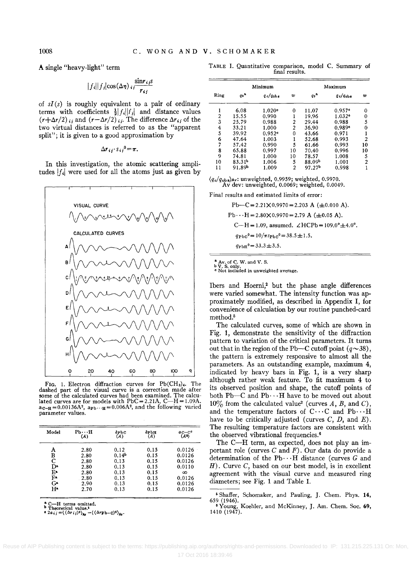1008

A single "heavy-light" term

$$
|f_i||f_j|\cos(\Delta\eta)\sqrt{\frac{\sin r_{ij}s}{r_{ij}}}
$$

of  $sI(s)$  is roughly equivalent to a pair of ordinary terms with coefficients  $\frac{1}{2}|f_i||f_j|$  and distance values  $(r+\Delta r/2)_{ij}$  and  $(r-\Delta r/2)_{ij}$ . The difference  $\Delta r_{ij}$  of the two virtual distances is referred to as the "apparent split"; it is given to a good approximation by

$$
\Delta r_{ij} \cdot s_{ij}{}^{0} = \pi.
$$

In this investigation, the atomic scattering amplitudes  $|f_i|$  were used for all the atoms just as given by



FIG. 1. Electron diffraction curves for  $Pb(CH_3)_4$ . The dashed part of the visual curve is a correction made after some of the calculated curves had been examined. The calculated curves are for models with  $PbC = 2.21A$ ,  $C-H = 1.09A$ .  $a_{C-H} = 0.00136A^2$ ,  $a_{Pb} \cdots_{H} = 0.006A^2$ , and the following varied parameter values.

| Model | Ph∴H<br>(A) | $\delta$ PbC<br>(A) | $\delta$ PbH<br>(A) | $a_{\rm C-C}$ <sup><math>\circ</math></sup><br>(A*) |
|-------|-------------|---------------------|---------------------|-----------------------------------------------------|
| A     | 2.80        | 0.12                | 0.15                | 0.0126                                              |
| в     | 2.80        | 0.14 <sup>b</sup>   | 0.15                | 0.0126                                              |
| C     | 2.80        | 0.13                | 0.15                | 0.0126                                              |
| Dа    | 2.80        | 0.13                | 0.15                | 0.0110                                              |
| E۰    | 2.80        | 0.13                | 0.15                | $\infty$                                            |
| F۰    | 2.80        | 0.13                | 0.15                | 0.0126                                              |
| Gв    | 2.90        | 0.13                | 0.15                | 0.0126                                              |
| H۵    | 2.70        | 0.13                | 0.15                | 0.0126                                              |
|       |             |                     |                     |                                                     |

<sup>a</sup> C—H terms omitted.<br>
b Theoretical value.<sup>2</sup><br>
e 2a<sub>ij</sub> =  $((\Delta r_{ij})^2)_{\text{Av}}$  -  $((\Delta r_{\text{Pb}-\text{C}})^2)_{\text{Av}}$ 

TABLE I. Quantitative comparison, model C. Summary of final results.

| Minimum                 |                    |                   | Maximum        |                    |                      |    |
|-------------------------|--------------------|-------------------|----------------|--------------------|----------------------|----|
| Ring                    | qo <sup>a</sup>    | $q_c/q_{\rm obs}$ | w              | $q_0$ <sup>a</sup> | $q_c/q_{\text{obs}}$ | w  |
|                         | 6.08               | 1.020c            | 0              | 11.07              | $0.957$ °            | 0  |
| $\overline{c}$          | 15.55              | 0.990             |                | 19.96              | $1.032$ <sup>o</sup> | 0  |
| $\overline{\mathbf{3}}$ | 25.79              | 0.988             | $\overline{2}$ | 29.44              | 0.988                | 5  |
|                         | 33.21              | 1.000             | $\overline{c}$ | 36.90              | $0.989$ <sup>o</sup> | 0  |
| $\frac{4}{5}$           | 39.92              | 0.952c            | 0              | 43.66              | 0.971                |    |
| 6                       | 47.64              | 1.003             |                | 52.68              | 0.993                | 2  |
| 7                       | 57.42              | 0.990             | 5              | 61.66              | 0.993                | 10 |
| 8                       | 65.88              | 0.997             | 10             | 70.40              | 0.996                | 10 |
| 9                       | 74.81              | 1.000             | 10             | 78.57              | 1.008                | 5  |
| 10                      | 83.31 <sup>b</sup> | 1.006             | 5              | 88.09b             | 1.001                | 2  |
| 11                      | 91.89b             | 1.009             | 2              | 97.27b             | 0.998                |    |

 $\langle q_c/q_{\rm obs} \rangle$ Ay: unweighted, 0.9959; weighted, 0.9970. Av dev: unweighted, 0.0069; weighted, 0.0049.

Final results and estimated limits of error:

 $Pb-C = 2.21 \times 0.9970 = 2.203$  A ( $\pm 0.010$  A).  $Pb \cdots H = 2.80 \times 0.9970 = 2.79$  A ( $\pm 0.05$  A). C-H = 1.09, assumed.  $\angle HCPb = 109.0^{\circ} \pm 4.0^{\circ}$ .  $q_{\rm Pbc}^0 = 10/\pi s_{\rm PbC}^0 = 38.5 \pm 1.5.$  $q_{\rm PbH}^0 = 33.3 \pm 3.5.$ 

Av. of C. W. and V. S.

<sup>o</sup> Not included in unweighted average.

Ibers and Hoerni,<sup>2</sup> but the phase angle differences were varied somewhat. The intensity function was approximately modified, as described in Appendix I, for convenience of calculation by our routine punched-card method.<sup>5</sup>

The calculated curves, some of which are shown in Fig. 1, demonstrate the sensitivity of the diffraction pattern to variation of the critical parameters. It turns out that in the region of the Pb—C cutoff point  $(q \sim 38)$ , the pattern is extremely responsive to almost all the parameters. As an outstanding example, maximum 4, indicated by heavy bars in Fig. 1, is a very sharp although rather weak feature. To fit maximum 4 to its observed position and shape, the cutoff points of both Pb-C and Pb $\cdots$ H have to be moved out about  $10\%$  from the calculated value<sup>2</sup> (curves A, B, and C), and the temperature factors of C...C and Pb...H have to be critically adjusted (curves  $C$ ,  $D$ , and  $E$ ). The resulting temperature factors are consistent with the observed vibrational frequencies.<sup>6</sup>

The C-H term, as expected, does not play an important role (curves  $C$  and  $F$ ). Our data do provide a determination of the Pb $\cdots$ H distance (curves G and  $H$ ). Curve C, based on our best model, is in excellent agreement with the visual curve and measured ring diameters; see Fig. 1 and Table I.

<sup>&</sup>lt;sup>5</sup> Shaffer, Schomaker, and Pauling, J. Chem. Phys. 14, 659 (1946).

Voung, Koehler, and McKinney, J. Am. Chem. Soc. 69, 1410 (1947).